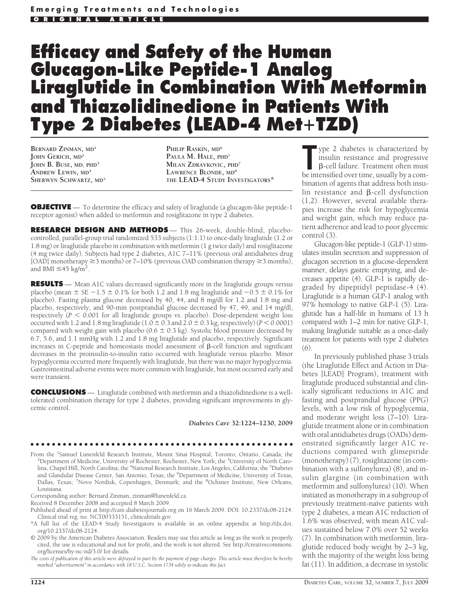# **Efficacy and Safety of the Human Glucagon-Like Peptide-1 Analog Liraglutide in Combination With Metformin and Thiazolidinedione in Patients With Type 2 Diabetes (LEAD-4 MetTZD)**

**BERNARD ZINMAN, MD<sup>1</sup> JOHN GERICH, MD<sup>2</sup> JOHN B. BUSE, MD, PHD<sup>3</sup> ANDREW LEWIN, MD<sup>4</sup> SHERWYN SCHWARTZ, MD<sup>5</sup>**

**PHILIP RASKIN, MD<sup>6</sup> PAULA M. HALE, PHD<sup>7</sup> MILAN ZDRAVKOVIC, PHD<sup>7</sup> LAWRENCE BLONDE, MD<sup>8</sup> THE LEAD-4 STUDY INVESTIGATORS\***

**OBJECTIVE** — To determine the efficacy and safety of liraglutide (a glucagon-like peptide-1 receptor agonist) when added to metformin and rosiglitazone in type 2 diabetes.

**RESEARCH DESIGN AND METHODS** — This 26-week, double-blind, placebocontrolled, parallel-group trial randomized 533 subjects (1:1:1) to once-daily liraglutide (1.2 or 1.8 mg) or liraglutide placebo in combination with metformin (1 g twice daily) and rosiglitazone (4 mg twice daily). Subjects had type 2 diabetes, A1C 7–11% (previous oral antidiabetes drug [OAD] monotherapy  $\geq$  3 months) or 7–10% (previous OAD combination therapy  $\geq$  3 months), and BMI  $\leq 45$  kg/m<sup>2</sup>.

**RESULTS** — Mean A1C values decreased significantly more in the liraglutide groups versus placebo (mean  $\pm$  SE  $-1.5 \pm 0.1\%$  for both 1.2 and 1.8 mg liraglutide and  $-0.5 \pm 0.1\%$  for placebo). Fasting plasma glucose decreased by 40, 44, and 8 mg/dl for 1.2 and 1.8 mg and placebo, respectively, and 90-min postprandial glucose decreased by 47, 49, and 14 mg/dl, respectively  $(P \leq 0.001$  for all liraglutide groups vs. placebo). Dose-dependent weight loss occurred with 1.2 and 1.8 mg liraglutide  $(1.0 \pm 0.3 \text{ and } 2.0 \pm 0.3 \text{ kg})$ , respectively) ( $P < 0.0001$ ) compared with weight gain with placebo ( $0.6 \pm 0.3$  kg). Systolic blood pressure decreased by 6.7, 5.6, and 1.1 mmHg with 1.2 and 1.8 mg liraglutide and placebo, respectively. Significant increases in C-peptide and homeostasis model assessment of  $\beta$ -cell function and significant decreases in the proinsulin-to-insulin ratio occurred with liraglutide versus placebo. Minor hypoglycemia occurred more frequently with liraglutide, but there was no major hypoglycemia. Gastrointestinal adverse events were more common with liraglutide, but most occurred early and were transient.

**CONCLUSIONS** — Liraglutide combined with metformin and a thiazolidinedione is a welltolerated combination therapy for type 2 diabetes, providing significant improvements in glycemic control.

*Diabetes Care* **32:1224–1230, 2009**

#### ●●●●●●●●●●●●●●●●●●●●●●●●●●●●●●●●●●●●●●●●●●●●●●●●●

From the <sup>1</sup>Samuel Lunenfeld Research Institute, Mount Sinai Hospital, Toronto, Ontario, Canada; the <sup>2</sup>Department of Medicine, University of Pechester, Pochester, New York: the <sup>3</sup>University of North Caro Department of Medicine, University of Rochester, Rochester, New York; the <sup>3</sup>University of North Carolina, Chapel Hill, North Carolina; the <sup>4</sup>National Research Institute, Los Angeles, California; the <sup>5</sup>Diabetes and Glandular Disease Center, San Antonio, Texas; the <sup>6</sup>Department of Medicine, University of Texas, Dallas, Texas; <sup>7</sup>Novo Nordisk, Copenhagen, Denmark; and the <sup>8</sup>Ochsner Institute, New Orleans, Louisiana.

Corresponding author: Bernard Zinman, zinman@lunenfeld.ca.

Received 8 December 2008 and accepted 8 March 2009.

Published ahead of print at http://care.diabetesjournals.org on 16 March 2009. DOI: 10.2337/dc08-2124. Clinical trial reg. no. NCT00333151, clinicaltrials.gov.

\*A full list of the LEAD-4 Study Investigators is available in an online appendix at http://dx.doi. org/10.2337/dc08-2124.

© 2009 by the American Diabetes Association. Readers may use this article as long as the work is properly cited, the use is educational and not for profit, and the work is not altered. See http://creativecommons. org/licenses/by-nc-nd/3.0/ for details.

*The costs of publication of this article were defrayed in part by the payment of page charges. This article must therefore be hereby marked "advertisement" in accordance with 18 U.S.C. Section 1734 solely to indicate this fact.*

**The intensified over the intensified over time**, usually by a com-<br>be intensified over time, usually by a comype 2 diabetes is characterized by insulin resistance and progressive B-cell failure. Treatment often must bination of agents that address both insulin resistance and  $\beta$ -cell dysfunction (1,2). However, several available therapies increase the risk for hypoglycemia and weight gain, which may reduce patient adherence and lead to poor glycemic control (3).

Glucagon-like peptide-1 (GLP-1) stimulates insulin secretion and suppression of glucagon secretion in a glucose-dependent manner, delays gastric emptying, and decreases appetite (4). GLP-1 is rapidly degraded by dipeptidyl peptidase-4 (4). Liraglutide is a human GLP-1 analog with 97% homology to native GLP-1 (5). Liraglutide has a half-life in humans of 13 h compared with 1–2 min for native GLP-1, making liraglutide suitable as a once-daily treatment for patients with type 2 diabetes (6).

In previously published phase 3 trials (the Liraglutide Effect and Action in Diabetes [LEAD] Program), treatment with liraglutide produced substantial and clinically significant reductions in A1C and fasting and postprandial glucose (PPG) levels, with a low risk of hypoglycemia, and moderate weight loss (7–10). Liraglutide treatment alone or in combination with oral antidiabetes drugs (OADs) demonstrated significantly larger A1C reductions compared with glimepiride (monotherapy) (7), rosiglitazone (in combination with a sulfonylurea) (8), and insulin glargine (in combination with metformin and sulfonylurea) (10). When initiated as monotherapy in a subgroup of previously treatment-naïve patients with type 2 diabetes, a mean A1C reduction of 1.6% was observed, with mean A1C values sustained below 7.0% over 52 weeks (7). In combination with metformin, liraglutide reduced body weight by 2–3 kg, with the majority of the weight loss being fat (11). In addition, a decrease in systolic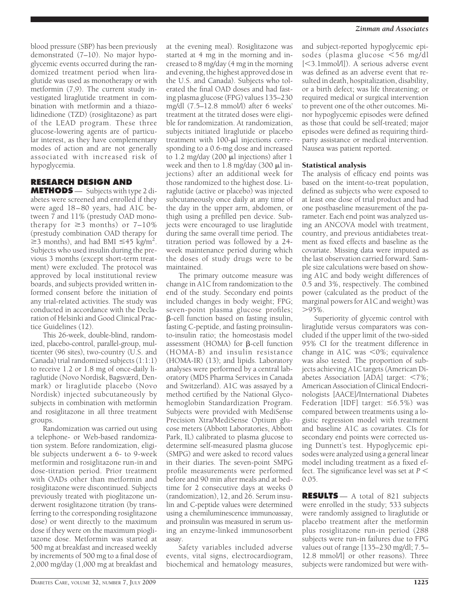blood pressure (SBP) has been previously demonstrated (7–10). No major hypoglycemic events occurred during the randomized treatment period when liraglutide was used as monotherapy or with metformin (7,9). The current study investigated liraglutide treatment in combination with metformin and a thiazolidinedione (TZD) (rosiglitazone) as part of the LEAD program. These three glucose-lowering agents are of particular interest, as they have complementary modes of action and are not generally associated with increased risk of hypoglycemia.

# **RESEARCH DESIGN AND**

**METHODS** — Subjects with type 2 diabetes were screened and enrolled if they were aged 18–80 years, had A1C between 7 and 11% (prestudy OAD monotherapy for  $\geq$ 3 months) or 7–10% (prestudy combination OAD therapy for  $\geq$ 3 months), and had BMI  $\leq$ 45 kg/m<sup>2</sup>. Subjects who used insulin during the previous 3 months (except short-term treatment) were excluded. The protocol was approved by local institutional review boards, and subjects provided written informed consent before the initiation of any trial-related activities. The study was conducted in accordance with the Declaration of Helsinki and Good Clinical Practice Guidelines (12).

This 26-week, double-blind, randomized, placebo-control, parallel-group, multicenter (96 sites), two-country (U.S. and Canada) trial randomized subjects (1:1:1) to receive 1.2 or 1.8 mg of once-daily liraglutide (Novo Nordisk, Bagsværd, Denmark) or liraglutide placebo (Novo Nordisk) injected subcutaneously by subjects in combination with metformin and rosiglitazone in all three treatment groups.

Randomization was carried out using a telephone- or Web-based randomization system. Before randomization, eligible subjects underwent a 6- to 9-week metformin and rosiglitazone run-in and dose-titration period. Prior treatment with OADs other than metformin and rosiglitazone were discontinued. Subjects previously treated with pioglitazone underwent rosiglitazone titration (by transferring to the corresponding rosiglitazone dose) or went directly to the maximum dose if they were on the maximum pioglitazone dose. Metformin was started at 500 mg at breakfast and increased weekly by increments of 500 mg to a final dose of 2,000 mg/day (1,000 mg at breakfast and

at the evening meal). Rosiglitazone was started at 4 mg in the morning and increased to 8 mg/day (4 mg in the morning and evening, the highest approved dose in the U.S. and Canada). Subjects who tolerated the final OAD doses and had fasting plasma glucose (FPG) values 135–230 mg/dl (7.5–12.8 mmol/l) after 6 weeks' treatment at the titrated doses were eligible for randomization. At randomization, subjects initiated liraglutide or placebo treatment with  $100 - \mu l$  injections corresponding to a 0.6-mg dose and increased to 1.2 mg/day (200  $\mu$ l injections) after 1 week and then to  $1.8 \text{ mg/day}$  (300  $\mu$ l injections) after an additional week for those randomized to the highest dose. Liraglutide (active or placebo) was injected subcutaneously once daily at any time of the day in the upper arm, abdomen, or thigh using a prefilled pen device. Subjects were encouraged to use liraglutide during the same overall time period. The titration period was followed by a 24 week maintenance period during which the doses of study drugs were to be maintained.

The primary outcome measure was change in A1C from randomization to the end of the study. Secondary end points included changes in body weight; FPG; seven-point plasma glucose profiles; -cell function based on fasting insulin, fasting C-peptide, and fasting proinsulinto-insulin ratio; the homeostasis model assessment (HOMA) for  $\beta$ -cell function (HOMA-B) and insulin resistance (HOMA-IR) (13); and lipids. Laboratory analyses were performed by a central laboratory (MDS Pharma Services in Canada and Switzerland). A1C was assayed by a method certified by the National Glycohemoglobin Standardization Program. Subjects were provided with MediSense Precision Xtra/MediSense Optium glucose meters (Abbott Laboratories, Abbott Park, IL) calibrated to plasma glucose to determine self-measured plasma glucose (SMPG) and were asked to record values in their diaries. The seven-point SMPG profile measurements were performed before and 90 min after meals and at bedtime for 2 consecutive days at weeks 0 (randomization), 12, and 26. Serum insulin and C-peptide values were determined using a chemiluminescence immunoassay, and proinsulin was measured in serum using an enzyme-linked immunosorbent assay.

Safety variables included adverse events, vital signs, electrocardiogram, biochemical and hematology measures, and subject-reported hypoglycemic episodes (plasma glucose <56 mg/dl [3.1mmol/l]). A serious adverse event was defined as an adverse event that resulted in death, hospitalization, disability, or a birth defect; was life threatening; or required medical or surgical intervention to prevent one of the other outcomes. Minor hypoglycemic episodes were defined as those that could be self-treated; major episodes were defined as requiring thirdparty assistance or medical intervention. Nausea was patient reported.

## Statistical analysis

The analysis of efficacy end points was based on the intent-to-treat population, defined as subjects who were exposed to at least one dose of trial product and had one postbaseline measurement of the parameter. Each end point was analyzed using an ANCOVA model with treatment, country, and previous antidiabetes treatment as fixed effects and baseline as the covariate. Missing data were imputed as the last observation carried forward. Sample size calculations were based on showing A1C and body weight differences of 0.5 and 3%, respectively. The combined power (calculated as the product of the marginal powers for A1C and weight) was  $>95\%$ .

Superiority of glycemic control with liraglutide versus comparators was concluded if the upper limit of the two-sided 95% CI for the treatment difference in change in A1C was  $\leq 0\%$ ; equivalence was also tested. The proportion of subjects achieving A1C targets (American Diabetes Association [ADA] target:  $\langle 7\% \rangle$ ; American Association of Clinical Endocrinologists [AACE]/International Diabetes Federation [IDF] target:  $\leq 6.5\%$ ) was compared between treatments using a logistic regression model with treatment and baseline A1C as covariates. CIs for secondary end points were corrected using Dunnett's test. Hypoglycemic episodes were analyzed using a general linear model including treatment as a fixed effect. The significance level was set at *P* 0.05.

**RESULTS** — A total of 821 subjects were enrolled in the study; 533 subjects were randomly assigned to liraglutide or placebo treatment after the metformin plus rosiglitazone run-in period (288 subjects were run-in failures due to FPG values out of range [135–230 mg/dl; 7.5– 12.8 mmol/l] or other reasons). Three subjects were randomized but were with-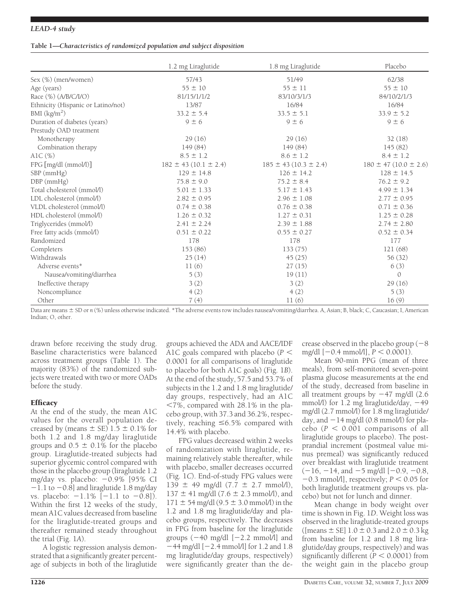### *LEAD-4 study*

#### **Table 1—***Characteristics of randomized population and subject disposition*

|                                    | 1.2 mg Liraglutide            | 1.8 mg Liraglutide            | Placebo                     |
|------------------------------------|-------------------------------|-------------------------------|-----------------------------|
| Sex (%) (men/women)                | 57/43                         | 51/49                         | 62/38                       |
| Age (years)                        | $55 \pm 10$                   | $55 \pm 11$                   | $55 \pm 10$                 |
| Race (%) (A/B/C/I/O)               | 81/15/1/1/2                   | 83/10/3/1/3                   | 84/10/2/1/3                 |
| Ethnicity (Hispanic or Latino/not) | 13/87                         | 16/84                         | 16/84                       |
| BMI $(kg/m2)$                      | $33.2 \pm 5.4$                | $33.5 \pm 5.1$                | $33.9 \pm 5.2$              |
| Duration of diabetes (years)       | $9 \pm 6$                     | $9 \pm 6$                     | $9 \pm 6$                   |
| Prestudy OAD treatment             |                               |                               |                             |
| Monotherapy                        | 29(16)                        | 29(16)                        | 32(18)                      |
| Combination therapy                | 149 (84)                      | 149 (84)                      | 145(82)                     |
| AlC $(\%)$                         | $8.5 \pm 1.2$                 | $8.6 \pm 1.2$                 | $8.4 \pm 1.2$               |
| FPG [mg/dl (mmol/l)]               | $182 \pm 43$ (10.1 $\pm$ 2.4) | $185 \pm 43$ (10.3 $\pm$ 2.4) | $180 \pm 47 (10.0 \pm 2.6)$ |
| SBP (mmHg)                         | $129 \pm 14.8$                | $126 \pm 14.2$                | $128 \pm 14.5$              |
| DBP (mmHg)                         | $75.8 \pm 9.0$                | $75.2 \pm 8.4$                | $76.2 \pm 9.2$              |
| Total cholesterol (mmol/l)         | $5.01 \pm 1.33$               | $5.17 \pm 1.43$               | $4.99 \pm 1.34$             |
| LDL cholesterol (mmol/l)           | $2.82 \pm 0.95$               | $2.96 \pm 1.08$               | $2.77 \pm 0.95$             |
| VLDL cholesterol (mmol/l)          | $0.74 \pm 0.38$               | $0.76 \pm 0.38$               | $0.71 \pm 0.36$             |
| HDL cholesterol (mmol/l)           | $1.26 \pm 0.32$               | $1.27 \pm 0.31$               | $1.25 \pm 0.28$             |
| Triglycerides (mmol/l)             | $2.41 \pm 2.24$               | $2.39 \pm 1.88$               | $2.74 \pm 2.80$             |
| Free fatty acids (mmol/l)          | $0.51 \pm 0.22$               | $0.55 \pm 0.27$               | $0.52 \pm 0.34$             |
| Randomized                         | 178                           | 178                           | 177                         |
| Completers                         | 153 (86)                      | 133(75)                       | 121(68)                     |
| Withdrawals                        | 25(14)                        | 45(25)                        | 56 (32)                     |
| Adverse events*                    | 11(6)                         | 27(15)                        | 6(3)                        |
| Nausea/vomiting/diarrhea           | 5(3)                          | 19(11)                        | $\Omega$                    |
| Ineffective therapy                | 3(2)                          | 3(2)                          | 29(16)                      |
| Noncompliance                      | 4(2)                          | 4(2)                          | 5(3)                        |
| Other                              | 7(4)                          | 11(6)                         | 16(9)                       |

Data are means  $\pm$  SD or *n* (%) unless otherwise indicated. \*The adverse events row includes nausea/vomiting/diarrhea. A, Asian; B, black; C, Caucasian; I, American Indian; O, other.

drawn before receiving the study drug. Baseline characteristics were balanced across treatment groups (Table 1). The majority (83%) of the randomized subjects were treated with two or more OADs before the study.

# **Efficacy**

At the end of the study, the mean A1C values for the overall population decreased by (means  $\pm$  SE) 1.5  $\pm$  0.1% for both 1.2 and 1.8 mg/day liraglutide groups and  $0.5 \pm 0.1\%$  for the placebo group. Liraglutide-treated subjects had superior glycemic control compared with those in the placebo group (liraglutide 1.2 mg/day vs. placebo: —0.9% [95% CI  $-1.1$  to  $-0.8$ ] and liraglutide 1.8 mg/day vs. placebo:  $-1.1\%$   $[-1.1$  to  $-0.8]$ ). Within the first 12 weeks of the study, mean A1C values decreased from baseline for the liraglutide-treated groups and thereafter remained steady throughout the trial (Fig. 1*A*).

A logistic regression analysis demonstrated that a significantly greater percentage of subjects in both of the liraglutide

groups achieved the ADA and AACE/IDF A1C goals compared with placebo (*P* 0.0001 for all comparisons of liraglutide to placebo for both A1C goals) (Fig. 1*B*). At the end of the study, 57.5 and 53.7% of subjects in the 1.2 and 1.8 mg liraglutide/ day groups, respectively, had an A1C  $<$ 7%, compared with 28.1% in the placebo group, with 37.3 and 36.2%, respectively, reaching  $\leq 6.5\%$  compared with 14.4% with placebo.

FPG values decreased within 2 weeks of randomization with liraglutide, remaining relatively stable thereafter, while with placebo, smaller decreases occurred (Fig. 1*C*). End-of-study FPG values were 139  $\pm$  49 mg/dl (7.7  $\pm$  2.7 mmol/l),  $137 \pm 41$  mg/dl (7.6  $\pm$  2.3 mmol/l), and  $171 \pm 54$  mg/dl (9.5  $\pm$  3.0 mmol/l) in the 1.2 and 1.8 mg liraglutide/day and placebo groups, respectively. The decreases in FPG from baseline for the liraglutide groups  $(-40 \text{ mg/dl} [-2.2 \text{ mmol/l}]$  and -44 mg/dl [-2.4 mmol/l] for 1.2 and 1.8 mg liraglutide/day groups, respectively) were significantly greater than the de $c$ rease observed in the placebo group  $(-8)$ mg/dl [-0.4 mmol/l], *P* 0.0001).

Mean 90-min PPG (mean of three meals), from self-monitored seven-point plasma glucose measurements at the end of the study, decreased from baseline in all treatment groups by -47 mg/dl (2.6  $mmol/l$ ) for 1.2 mg liraglutide/day,  $-49$ mg/dl (2.7 mmol/l) for 1.8 mg liraglutide/ day, and -14 mg/dl (0.8 mmol/l) for pla $cebo (P < 0.001$  comparisons of all liraglutide groups to placebo). The postprandial increment (postmeal value minus premeal) was significantly reduced over breakfast with liraglutide treatment  $(-16, -14, \text{ and } -5 \text{ mg/dl} [-0.9, -0.8,$  $-0.3$  mmol/l], respectively;  $P < 0.05$  for both liraglutide treatment groups vs. placebo) but not for lunch and dinner.

Mean change in body weight over time is shown in Fig. 1*D*. Weight loss was observed in the liraglutide-treated groups ([means  $\pm$  SE] 1.0  $\pm$  0.3 and 2.0  $\pm$  0.3 kg from baseline for 1.2 and 1.8 mg liraglutide/day groups, respectively) and was significantly different  $(P < 0.0001)$  from the weight gain in the placebo group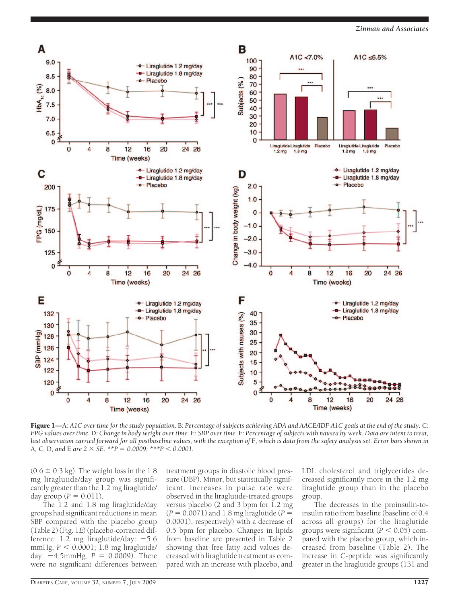

Figure 1—A*: A1C over time for the study population.* B*: Percentage of subjects achieving ADA and AACE/IDF A1C goals at the end of the study.* C*: FPG values over time.* D*: Change in body weight over time.* E*: SBP over time.* F*: Percentage of subjects with nausea by week. Data are intent to treat, last observation carried forward for all postbaseline values, with the exception of* F*, which is data from the safety analysis set. Error bars shown in* A, C, D, and E are  $2 \times SE$ . \*\* $P = 0.0009$ ; \*\*\* $P < 0.0001$ .

 $(0.6 \pm 0.3 \text{ kg})$ . The weight loss in the 1.8 mg liraglutide/day group was significantly greater than the 1.2 mg liraglutide/ day group ( $P = 0.011$ ).

The 1.2 and 1.8 mg liraglutide/day groups had significant reductions in mean SBP compared with the placebo group (Table 2) (Fig. 1*E*) (placebo-corrected difference: 1.2 mg liraglutide/day: -5.6 mmHg,  $P < 0.0001$ ; 1.8 mg liraglutide/ day:  $-4.5$ mmHg,  $P = 0.0009$ ). There were no significant differences between

treatment groups in diastolic blood pressure (DBP). Minor, but statistically significant, increases in pulse rate were observed in the liraglutide-treated groups versus placebo (2 and 3 bpm for 1.2 mg  $(P = 0.0071)$  and 1.8 mg liraglutide  $(P =$ 0.0001), respectively) with a decrease of 0.5 bpm for placebo. Changes in lipids from baseline are presented in Table 2 showing that free fatty acid values decreased with liraglutide treatment as compared with an increase with placebo, and LDL cholesterol and triglycerides decreased significantly more in the 1.2 mg liraglutide group than in the placebo group.

The decreases in the proinsulin-toinsulin ratio from baseline (baseline of 0.4 across all groups) for the liraglutide groups were significant  $(P < 0.05)$  compared with the placebo group, which increased from baseline (Table 2). The increase in C-peptide was significantly greater in the liraglutide groups (131 and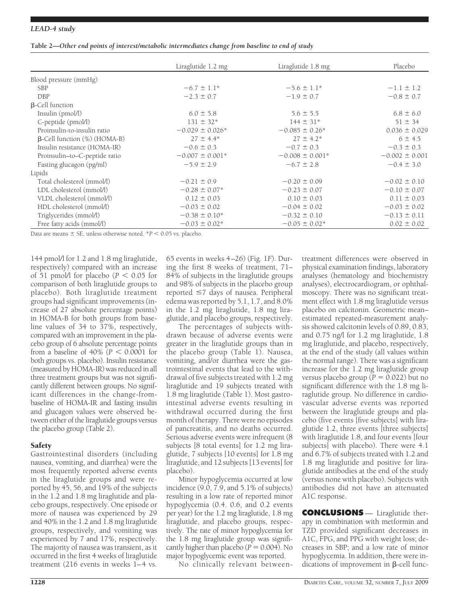#### *LEAD-4 study*

|  | Table 2—Other end points of interest/metabolic intermediates change from baseline to end of study |  |  |
|--|---------------------------------------------------------------------------------------------------|--|--|
|  |                                                                                                   |  |  |
|  |                                                                                                   |  |  |

|                                        | Liraglutide 1.2 mg            | Liraglutide 1.8 mg            | Placebo            |
|----------------------------------------|-------------------------------|-------------------------------|--------------------|
| Blood pressure (mmHg)                  |                               |                               |                    |
| <b>SBP</b>                             | $-6.7 \pm 1.1*$               | $-5.6 \pm 1.1*$               | $-1.1 \pm 1.2$     |
| <b>DBP</b>                             | $-2.3 \pm 0.7$                | $-1.9 \pm 0.7$                | $-0.8 \pm 0.7$     |
| $\beta$ -Cell function                 |                               |                               |                    |
| Insulin (pmol/l)                       | $6.0 \pm 5.8$                 | $5.6 \pm 5.5$                 | $6.8 \pm 6.0$      |
| C-peptide (pmol/l)                     | $131 \pm 32*$                 | $144 \pm 31*$                 | $51 \pm 34$        |
| Proinsulin-to-insulin ratio            | $-0.029 \pm 0.026*$           | $-0.085 \pm 0.26^*$           | $0.036 \pm 0.029$  |
| $\beta$ -Cell function $(\%)$ (HOMA-B) | $27 \pm 4.4*$                 | $27 \pm 4.2^*$                | $6 \pm 4.5$        |
| Insulin resistance (HOMA-IR)           | $-0.6 \pm 0.3$                | $-0.7 \pm 0.3$                | $-0.3 \pm 0.3$     |
| Proinsulin-to-C-peptide ratio          | $-0.007 \pm 0.001*$           | $-0.008 \pm 0.001*$           | $-0.002 \pm 0.001$ |
| Fasting glucagon (pg/ml)               | $-5.9 \pm 2.9$                | $-6.7 \pm 2.8$                | $-0.4 \pm 3.0$     |
| Lipids                                 |                               |                               |                    |
| Total cholesterol (mmol/l)             | $-0.21 \pm 0.9$               | $-0.20 \pm 0.09$              | $-0.02 \pm 0.10$   |
| LDL cholesterol (mmol/l)               | $-0.28 \pm 0.07*$             | $-0.23 \pm 0.07$              | $-0.10 \pm 0.07$   |
| VLDL cholesterol (mmol/l)              | $0.12 \pm 0.03$               | $0.10 \pm 0.03$               | $0.11 \pm 0.03$    |
| HDL cholesterol (mmol/l)               | $-0.03 \pm 0.02$              | $-0.04 \pm 0.02$              | $-0.03 \pm 0.02$   |
| Triglycerides (mmol/l)                 | $-0.38 \pm 0.10^*$            | $-0.32 \pm 0.10$              | $-0.13 \pm 0.11$   |
| Free fatty acids (mmol/l)              | $-0.03 \pm 0.02$ <sup>*</sup> | $-0.05 \pm 0.02$ <sup>*</sup> | $0.02 \pm 0.02$    |

Data are means  $\pm$  SE, unless otherwise noted.  $*P < 0.05$  vs. placebo.

144 pmol/l for 1.2 and 1.8 mg liraglutide, respectively) compared with an increase of 51 pmol/l for placebo  $(P < 0.05$  for comparison of both liraglutide groups to placebo). Both liraglutide treatment groups had significant improvements (increase of 27 absolute percentage points) in HOMA-B for both groups from baseline values of 34 to 37%, respectively, compared with an improvement in the placebo group of 6 absolute percentage points from a baseline of  $40\%$  ( $P < 0.0001$  for both groups vs. placebo). Insulin resistance (measured by HOMA-IR) was reduced in all three treatment groups but was not significantly different between groups. No significant differences in the change-frombaseline of HOMA-IR and fasting insulin and glucagon values were observed between either of the liraglutide groups versus the placebo group (Table 2).

### **Safety**

Gastrointestinal disorders (including nausea, vomiting, and diarrhea) were the most frequently reported adverse events in the liraglutide groups and were reported by 45, 56, and 19% of the subjects in the 1.2 and 1.8 mg liraglutide and placebo groups, respectively. One episode or more of nausea was experienced by 29 and 40% in the 1.2 and 1.8 mg liraglutide groups, respectively, and vomiting was experienced by 7 and 17%, respectively. The majority of nausea was transient, as it occurred in the first 4 weeks of liraglutide treatment (216 events in weeks 1–4 vs.

65 events in weeks 4–26) (Fig. 1*F*). During the first 8 weeks of treatment, 71– 84% of subjects in the liraglutide groups and 98% of subjects in the placebo group reported ≤7 days of nausea. Peripheral edema was reported by 5.1, 1.7, and 8.0% in the 1.2 mg liraglutide, 1.8 mg liraglutide, and placebo groups, respectively.

The percentages of subjects withdrawn because of adverse events were greater in the liraglutide groups than in the placebo group (Table 1). Nausea, vomiting, and/or diarrhea were the gastrointestinal events that lead to the withdrawal of five subjects treated with 1.2 mg liraglutide and 19 subjects treated with 1.8 mg liraglutide (Table 1). Most gastrointestinal adverse events resulting in withdrawal occurred during the first month of therapy. There were no episodes of pancreatitis, and no deaths occurred. Serious adverse events were infrequent (8 subjects [8 total events] for 1.2 mg liraglutide, 7 subjects [10 events] for 1.8 mg liraglutide, and 12 subjects [13 events] for placebo).

Minor hypoglycemia occurred at low incidence  $(9.0, 7.9, \text{and } 5.1\%$  of subjects) resulting in a low rate of reported minor hypoglycemia (0.4. 0.6, and 0.2 events per year) for the 1.2 mg liraglutide, 1.8 mg liraglutide, and placebo groups, respectively. The rate of minor hypoglycemia for the 1.8 mg liraglutide group was significantly higher than placebo  $(P = 0.004)$ . No major hypoglycemic event was reported.

No clinically relevant between-

treatment differences were observed in physical examination findings, laboratory analyses (hematology and biochemistry analyses), electrocardiogram, or ophthalmoscopy. There was no significant treatment effect with 1.8 mg liraglutide versus placebo on calcitonin. Geometric mean– estimated repeated-measurement analysis showed calcitonin levels of 0.89, 0.83, and 0.75 ng/l for 1.2 mg liraglutide, 1.8 mg liraglutide, and placebo, respectively, at the end of the study (all values within the normal range). There was a significant increase for the 1.2 mg liraglutide group versus placebo group ( $\overline{P} = 0.022$ ) but no significant difference with the 1.8 mg liraglutide group. No difference in cardiovascular adverse events was reported between the liraglutide groups and placebo (five events [five subjects] with liraglutide 1.2, three events [three subjects] with liraglutide 1.8, and four events [four subjects] with placebo). There were 4.1 and 6.7% of subjects treated with 1.2 and 1.8 mg liraglutide and positive for liraglutide antibodies at the end of the study (versus none with placebo). Subjects with antibodies did not have an attenuated A1C response.

**CONCLUSIONS** — Liraglutide therapy in combination with metformin and TZD provided significant decreases in A1C, FPG, and PPG with weight loss; decreases in SBP; and a low rate of minor hypoglycemia. In addition, there were indications of improvement in  $\beta$ -cell func-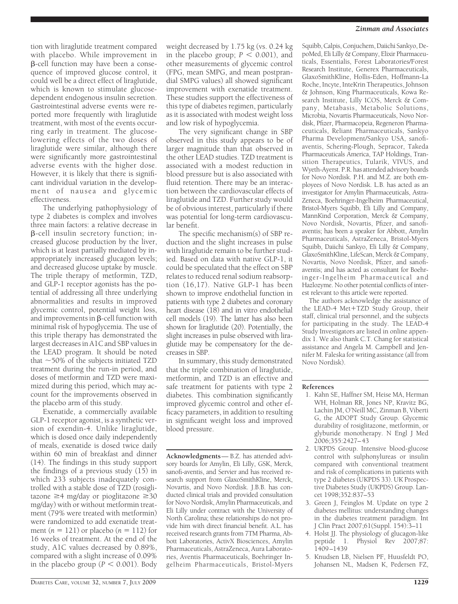#### *Zinman and Associates*

tion with liraglutide treatment compared with placebo. While improvement in -cell function may have been a consequence of improved glucose control, it could well be a direct effect of liraglutide, which is known to stimulate glucosedependent endogenous insulin secretion. Gastrointestinal adverse events were reported more frequently with liraglutide treatment, with most of the events occurring early in treatment. The glucoselowering effects of the two doses of liraglutide were similar, although there were significantly more gastrointestinal adverse events with the higher dose. However, it is likely that there is significant individual variation in the development of nausea and glycemic effectiveness.

The underlying pathophysiology of type 2 diabetes is complex and involves three main factors: a relative decrease in -cell insulin secretory function; increased glucose production by the liver, which is at least partially mediated by inappropriately increased glucagon levels; and decreased glucose uptake by muscle. The triple therapy of metformin, TZD, and GLP-1 receptor agonists has the potential of addressing all three underlying abnormalities and results in improved glycemic control, potential weight loss, and improvements in  $\beta$ -cell function with minimal risk of hypoglycemia. The use of this triple therapy has demonstrated the largest decreases in A1C and SBP values in the LEAD program. It should be noted that  $\sim$  50% of the subjects initiated TZD treatment during the run-in period, and doses of metformin and TZD were maximized during this period, which may account for the improvements observed in the placebo arm of this study.

Exenatide, a commercially available GLP-1 receptor agonist, is a synthetic version of exendin-4. Unlike liraglutide, which is dosed once daily independently of meals, exenatide is dosed twice daily within 60 min of breakfast and dinner (14). The findings in this study support the findings of a previous study (15) in which 233 subjects inadequately controlled with a stable dose of TZD (rosiglitazone  $\geq$ 4 mg/day or pioglitazone  $\geq$ 30 mg/day) with or without metformin treatment (79% were treated with metformin) were randomized to add exenatide treatment ( $n = 121$ ) or placebo ( $n = 112$ ) for 16 weeks of treatment. At the end of the study, A1C values decreased by 0.89%, compared with a slight increase of 0.09% in the placebo group ( $P < 0.001$ ). Body

weight decreased by 1.75 kg (vs. 0.24 kg in the placebo group;  $P < 0.001$ ), and other measurements of glycemic control (FPG, mean SMPG, and mean postprandial SMPG values) all showed significant improvement with exenatide treatment. These studies support the effectiveness of this type of diabetes regimen, particularly as it is associated with modest weight loss and low risk of hypoglycemia.

The very significant change in SBP observed in this study appears to be of larger magnitude than that observed in the other LEAD studies. TZD treatment is associated with a modest reduction in blood pressure but is also associated with fluid retention. There may be an interaction between the cardiovascular effects of liraglutide and TZD. Further study would be of obvious interest, particularly if there was potential for long-term cardiovascular benefit.

The specific mechanism(s) of SBP reduction and the slight increases in pulse with liraglutide remain to be further studied. Based on data with native GLP-1, it could be speculated that the effect on SBP relates to reduced renal sodium reabsorption (16,17). Native GLP-1 has been shown to improve endothelial function in patients with type 2 diabetes and coronary heart disease (18) and in vitro endothelial cell models (19). The latter has also been shown for liraglutide (20). Potentially, the slight increases in pulse observed with liraglutide may be compensatory for the decreases in SBP.

In summary, this study demonstrated that the triple combination of liraglutide, metformin, and TZD is an effective and safe treatment for patients with type 2 diabetes. This combination significantly improved glycemic control and other efficacy parameters, in addition to resulting in significant weight loss and improved blood pressure.

**Acknowledgments**— B.Z. has attended advisory boards for Amylin, Eli Lilly, GSK, Merck, sanofi-aventis, and Servier and has received research support from GlaxoSmithKline, Merck, Novartis, and Novo Nordisk. J.B.B. has conducted clinical trials and provided consultation for Novo Nordisk, Amylin Pharmaceuticals, and Eli Lilly under contract with the University of North Carolina; these relationships do not provide him with direct financial benefit. A.L. has received research grants from 7TM Pharma, Abbott Laboratories, ActivX Biosciences, Amylin Pharmaceuticals, AstraZeneca, Aura Laboratories, Aventis Pharmaceuticals, Boehringer Ingelheim Pharmaceuticals, Bristol-Myers

Squibb, Calpis, Conjuchem, Daiichi Sankyo, DepoMed, Eli Lilly & Company, Elixir Pharmaceuticals, Essentialis, Forest Laboratories/Forest Research Institute, Generex Pharmaceuticals, GlaxoSmithKline, Hollis-Eden, Hoffmann-La Roche, Incyte, InteKrin Therapeutics, Johnson & Johnson, King Pharmaceuticals, Kowa Research Institute, Lilly ICOS, Merck & Company, Metabasis, Metabolic Solutions, Microbia, Novartis Pharmaceuticals, Novo Nordisk, Pfizer, Pharmacopeia, Regeneron Pharmaceuticals, Reliant Pharmaceuticals, Sankyo Pharma Development/Sankyo USA, sanofiaventis, Schering-Plough, Sepracor, Takeda Pharmaceuticals America, TAP Holdings, Transition Therapeutics, Tularik, VIVUS, and Wyeth-Ayerst. P.R. has attended advisory boards for Novo Nordisk. P.H. and M.Z. are both employees of Novo Nordisk. L.B. has acted as an investigator for Amylin Pharmaceuticals, Astra-Zeneca, Boehringer-Ingelheim Pharmaceutical, Bristol-Myers Squibb, Eli Lilly and Company, MannKind Corporation, Merck & Company, Novo Nordisk, Novartis, Pfizer, and sanofiaventis; has been a speaker for Abbott, Amylin Pharmaceuticals, AstraZeneca, Bristol-Myers Squibb, Daiichi Sankyo, Eli Lilly & Company, GlaxoSmithKline, LifeScan, Merck & Company, Novartis, Novo Nordisk, Pfizer, and sanofiaventis; and has acted as consultant for Boehringer-Ingelheim Pharmaceutical and Hazlozyme. No other potential conflicts of interest relevant to this article were reported.

The authors acknowledge the assistance of the LEAD-4 Met+TZD Study Group, their staff, clinical trial personnel, and the subjects for participating in the study. The LEAD-4 Study Investigators are listed in online appendix 1. We also thank C.T. Chang for statistical assistance and Angela M. Campbell and Jennifer M. Faleska for writing assistance (all from Novo Nordisk).

#### **References**

- 1. Kahn SE, Haffner SM, Heise MA, Herman WH, Holman RR, Jones NP, Kravitz BG, Lachin JM, O'Neill MC, Zinman B, Viberti G, the ADOPT Study Group. Glycemic durability of rosiglitazone, metformin, or glyburide monotherapy. N Engl J Med 2006;355:2427–43
- 2. UKPDS Group. Intensive blood-glucose control with sulphonylureas or insulin compared with conventional treatment and risk of complications in patients with type 2 diabetes (UKPDS 33). UK Prospective Diabetes Study (UKPDS) Group. Lancet 1998;352:837–53
- 3. Green J, Feinglos M. Update on type 2 diabetes mellitus: understanding changes in the diabetes treatment paradigm. Int J Clin Pract 2007;61(Suppl. 154):3–11
- 4. Holst JJ. The physiology of glucagon-like peptide 1. Physiol Rev 2007;87: 1409–1439
- 5. Knudsen LB, Nielsen PF, Huusfeldt PO, Johansen NL, Madsen K, Pedersen FZ,